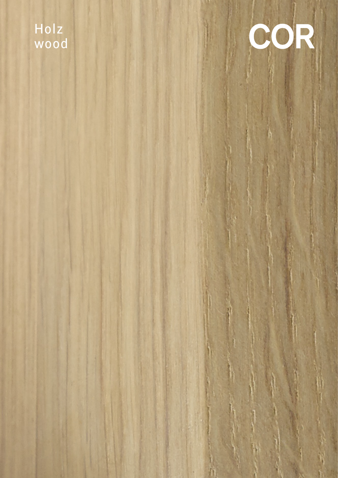## Holz wood

# COR